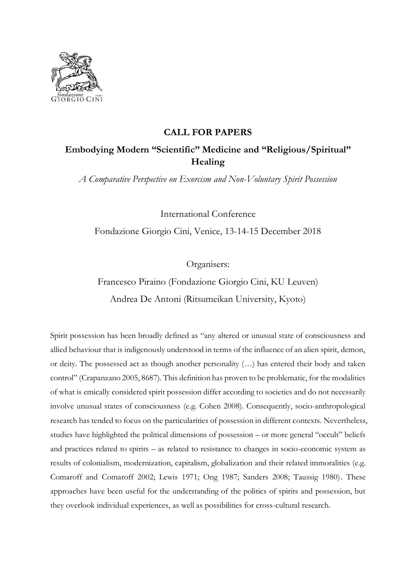

## **CALL FOR PAPERS**

# **Embodying Modern "Scientific" Medicine and "Religious/Spiritual" Healing**

*A Comparative Perspective on Exorcism and Non-Voluntary Spirit Possession*

International Conference Fondazione Giorgio Cini, Venice, 13-14-15 December 2018

Organisers:

Francesco Piraino (Fondazione Giorgio Cini, KU Leuven) Andrea De Antoni (Ritsumeikan University, Kyoto)

Spirit possession has been broadly defined as "any altered or unusual state of consciousness and allied behaviour that is indigenously understood in terms of the influence of an alien spirit, demon, or deity. The possessed act as though another personality (…) has entered their body and taken control" (Crapanzano 2005, 8687). This definition has proven to be problematic, for the modalities of what is emically considered spirit possession differ according to societies and do not necessarily involve unusual states of consciousness (e.g. Cohen 2008). Consequently, socio-anthropological research has tended to focus on the particularities of possession in different contexts. Nevertheless, studies have highlighted the political dimensions of possession – or more general "occult" beliefs and practices related to spirits – as related to resistance to changes in socio-economic system as results of colonialism, modernization, capitalism, globalization and their related immoralities (e.g. Comaroff and Comaroff 2002; Lewis 1971; Ong 1987; Sanders 2008; Taussig 1980). These approaches have been useful for the understanding of the politics of spirits and possession, but they overlook individual experiences, as well as possibilities for cross-cultural research.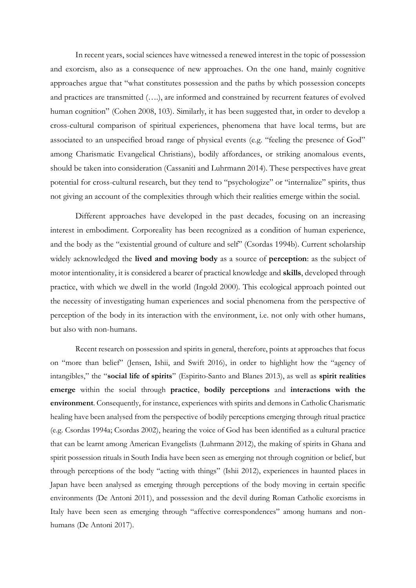In recent years, social sciences have witnessed a renewed interest in the topic of possession and exorcism, also as a consequence of new approaches. On the one hand, mainly cognitive approaches argue that "what constitutes possession and the paths by which possession concepts and practices are transmitted (….), are informed and constrained by recurrent features of evolved human cognition" (Cohen 2008, 103). Similarly, it has been suggested that, in order to develop a cross-cultural comparison of spiritual experiences, phenomena that have local terms, but are associated to an unspecified broad range of physical events (e.g. "feeling the presence of God" among Charismatic Evangelical Christians), bodily affordances, or striking anomalous events, should be taken into consideration (Cassaniti and Luhrmann 2014). These perspectives have great potential for cross-cultural research, but they tend to "psychologize" or "internalize" spirits, thus not giving an account of the complexities through which their realities emerge within the social.

Different approaches have developed in the past decades, focusing on an increasing interest in embodiment. Corporeality has been recognized as a condition of human experience, and the body as the "existential ground of culture and self" (Csordas 1994b). Current scholarship widely acknowledged the **lived and moving body** as a source of **perception**: as the subject of motor intentionality, it is considered a bearer of practical knowledge and **skills**, developed through practice, with which we dwell in the world (Ingold 2000). This ecological approach pointed out the necessity of investigating human experiences and social phenomena from the perspective of perception of the body in its interaction with the environment, i.e. not only with other humans, but also with non-humans.

Recent research on possession and spirits in general, therefore, points at approaches that focus on "more than belief" (Jensen, Ishii, and Swift 2016), in order to highlight how the "agency of intangibles," the "**social life of spirits**" (Espirito-Santo and Blanes 2013), as well as **spirit realities emerge** within the social through **practice**, **bodily perceptions** and **interactions with the environment**. Consequently, for instance, experiences with spirits and demons in Catholic Charismatic healing have been analysed from the perspective of bodily perceptions emerging through ritual practice (e.g. Csordas 1994a; Csordas 2002), hearing the voice of God has been identified as a cultural practice that can be learnt among American Evangelists (Luhrmann 2012), the making of spirits in Ghana and spirit possession rituals in South India have been seen as emerging not through cognition or belief, but through perceptions of the body "acting with things" (Ishii 2012), experiences in haunted places in Japan have been analysed as emerging through perceptions of the body moving in certain specific environments (De Antoni 2011), and possession and the devil during Roman Catholic exorcisms in Italy have been seen as emerging through "affective correspondences" among humans and nonhumans (De Antoni 2017).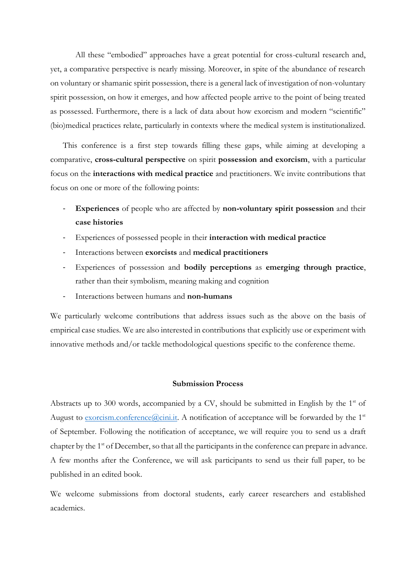All these "embodied" approaches have a great potential for cross-cultural research and, yet, a comparative perspective is nearly missing. Moreover, in spite of the abundance of research on voluntary or shamanic spirit possession, there is a general lack of investigation of non-voluntary spirit possession, on how it emerges, and how affected people arrive to the point of being treated as possessed. Furthermore, there is a lack of data about how exorcism and modern "scientific" (bio)medical practices relate, particularly in contexts where the medical system is institutionalized.

This conference is a first step towards filling these gaps, while aiming at developing a comparative, **cross-cultural perspective** on spirit **possession and exorcism**, with a particular focus on the **interactions with medical practice** and practitioners. We invite contributions that focus on one or more of the following points:

- **Experiences** of people who are affected by **non-voluntary spirit possession** and their **case histories**
- Experiences of possessed people in their **interaction with medical practice**
- Interactions between **exorcists** and **medical practitioners**
- Experiences of possession and **bodily perceptions** as **emerging through practice**, rather than their symbolism, meaning making and cognition
- Interactions between humans and **non-humans**

We particularly welcome contributions that address issues such as the above on the basis of empirical case studies. We are also interested in contributions that explicitly use or experiment with innovative methods and/or tackle methodological questions specific to the conference theme.

### **Submission Process**

Abstracts up to 300 words, accompanied by a CV, should be submitted in English by the  $1<sup>st</sup>$  of August to [exorcism.conference@cini.it.](mailto:exorcism.conference@cini.it) A notification of acceptance will be forwarded by the 1<sup>st</sup> of September. Following the notification of acceptance, we will require you to send us a draft chapter by the 1<sup>st</sup> of December, so that all the participants in the conference can prepare in advance. A few months after the Conference, we will ask participants to send us their full paper, to be published in an edited book.

We welcome submissions from doctoral students, early career researchers and established academics.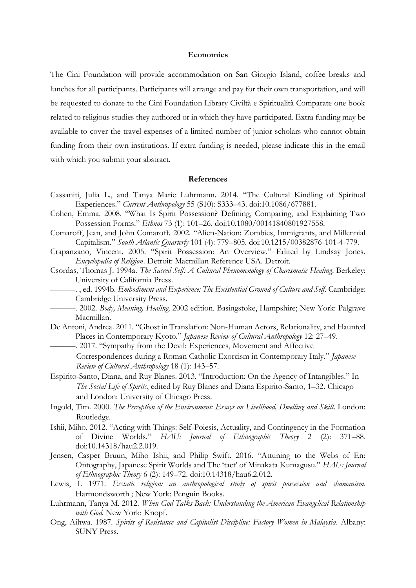#### **Economics**

The Cini Foundation will provide accommodation on San Giorgio Island, coffee breaks and lunches for all participants. Participants will arrange and pay for their own transportation, and will be requested to donate to the Cini Foundation Library Civiltà e Spiritualità Comparate one book related to religious studies they authored or in which they have participated. Extra funding may be available to cover the travel expenses of a limited number of junior scholars who cannot obtain funding from their own institutions. If extra funding is needed, please indicate this in the email with which you submit your abstract.

### **References**

- Cassaniti, Julia L., and Tanya Marie Luhrmann. 2014. "The Cultural Kindling of Spiritual Experiences." *Current Anthropology* 55 (S10): S333–43. doi:10.1086/677881.
- Cohen, Emma. 2008. "What Is Spirit Possession? Defining, Comparing, and Explaining Two Possession Forms." *Ethnos* 73 (1): 101–26. doi:10.1080/00141840801927558.
- Comaroff, Jean, and John Comaroff. 2002. "Alien-Nation: Zombies, Immigrants, and Millennial Capitalism." *South Atlantic Quarterly* 101 (4): 779–805. doi:10.1215/00382876-101-4-779.
- Crapanzano, Vincent. 2005. "Spirit Possession: An Overview." Edited by Lindsay Jones. *Encyclopedia of Religion*. Detroit: Macmillan Reference USA. Detroit.
- Csordas, Thomas J. 1994a. *The Sacred Self: A Cultural Phenomenology of Charismatic Healing*. Berkeley: University of California Press.
	- ———. , ed. 1994b. *Embodiment and Experience: The Existential Ground of Culture and Self*. Cambridge: Cambridge University Press.
- ———. 2002. *Body, Meaning, Healing*. 2002 edition. Basingstoke, Hampshire; New York: Palgrave Macmillan.
- De Antoni, Andrea. 2011. "Ghost in Translation: Non-Human Actors, Relationality, and Haunted Places in Contemporary Kyoto." *Japanese Review of Cultural Anthropology* 12: 27–49.
- -. 2017. "Sympathy from the Devil: Experiences, Movement and Affective Correspondences during a Roman Catholic Exorcism in Contemporary Italy." *Japanese Review of Cultural Anthropology* 18 (1): 143–57.
- Espirito-Santo, Diana, and Ruy Blanes. 2013. "Introduction: On the Agency of Intangibles." In *The Social Life of Spirits*, edited by Ruy Blanes and Diana Espirito-Santo, 1–32. Chicago and London: University of Chicago Press.
- Ingold, Tim. 2000. *The Perception of the Environment: Essays on Livelihood, Dwelling and Skill*. London: Routledge.
- Ishii, Miho. 2012. "Acting with Things: Self-Poiesis, Actuality, and Contingency in the Formation of Divine Worlds." *HAU: Journal of Ethnographic Theory* 2 (2): 371–88. doi:10.14318/hau2.2.019.
- Jensen, Casper Bruun, Miho Ishii, and Philip Swift. 2016. "Attuning to the Webs of En: Ontography, Japanese Spirit Worlds and The 'tact' of Minakata Kumagusu." *HAU: Journal of Ethnographic Theory* 6 (2): 149–72. doi:10.14318/hau6.2.012.
- Lewis, I. 1971. *Ecstatic religion: an anthropological study of spirit possession and shamanism*. Harmondsworth ; New York: Penguin Books.
- Luhrmann, Tanya M. 2012. *When God Talks Back: Understanding the American Evangelical Relationship with God*. New York: Knopf.
- Ong, Aihwa. 1987. *Spirits of Resistance and Capitalist Discipline: Factory Women in Malaysia*. Albany: SUNY Press.